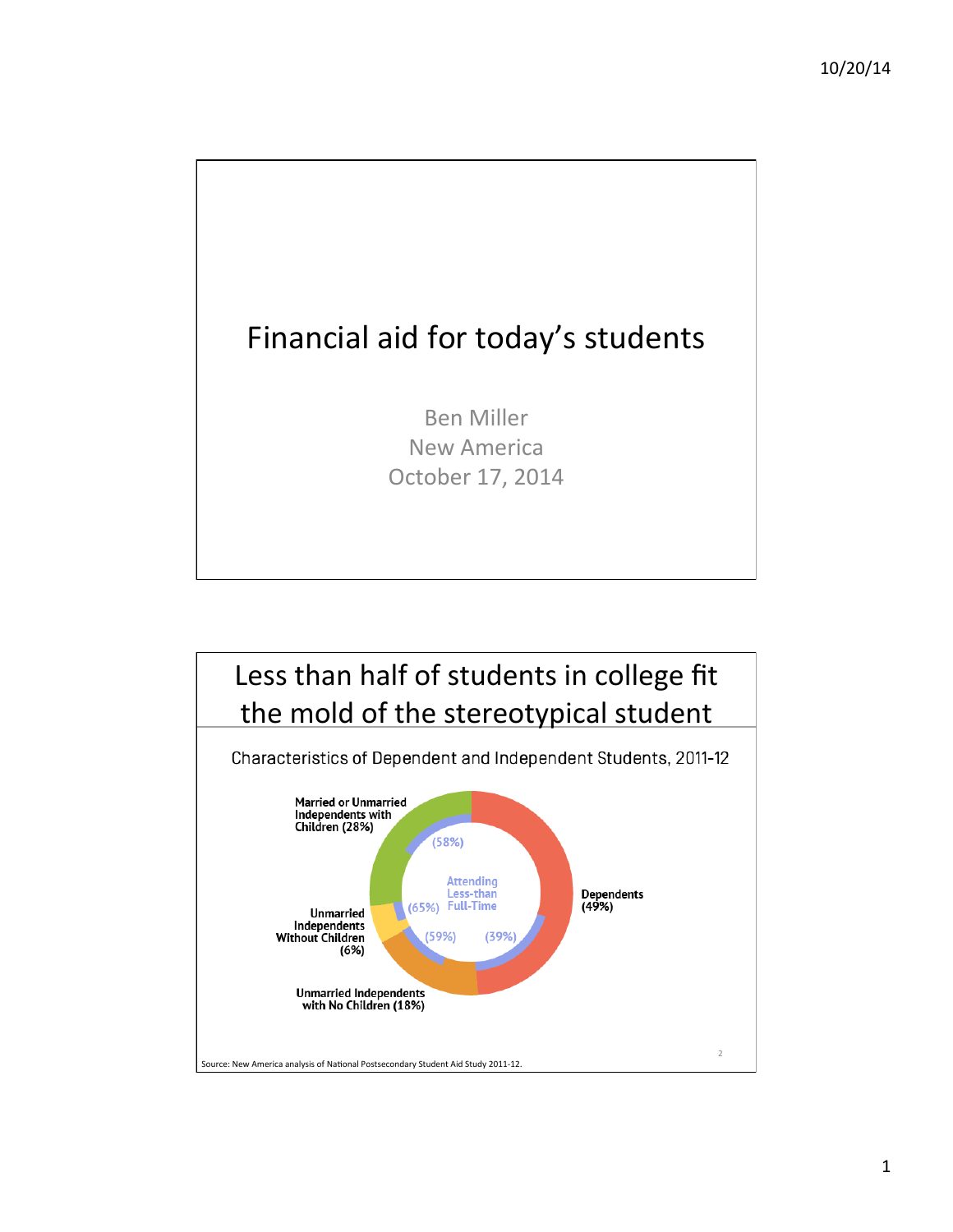

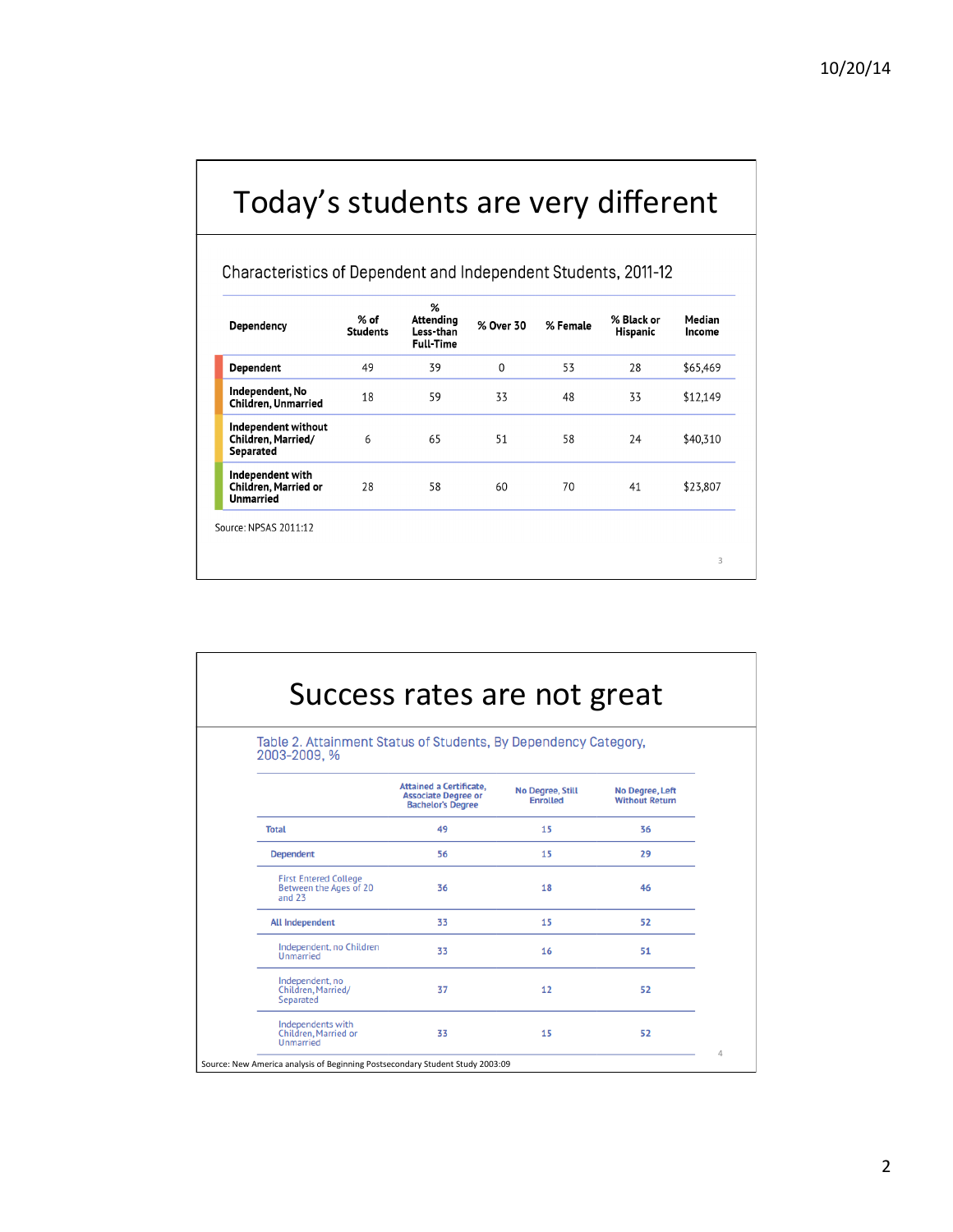## Today's students are very different

Characteristics of Dependent and Independent Students, 2011-12

| Dependency                                                          | $%$ of<br><b>Students</b> | %<br>Attending<br>Less-than<br><b>Full-Time</b> | % Over 30 | % Female | % Black or<br>Hispanic | Median<br>Income |
|---------------------------------------------------------------------|---------------------------|-------------------------------------------------|-----------|----------|------------------------|------------------|
| Dependent                                                           | 49                        | 39                                              | 0         | 53       | 28                     | \$65,469         |
| Independent, No<br><b>Children, Unmarried</b>                       | 18                        | 59                                              | 33        | 48       | 33                     | \$12,149         |
| Independent without<br>Children, Married/<br>Separated              | 6                         | 65                                              | 51        | 58       | 24                     | \$40,310         |
| Independent with<br><b>Children, Married or</b><br><b>Unmarried</b> | 28                        | 58                                              | 60        | 70       | 41                     | \$23,807         |

| Success rates are not great<br>Table 2. Attainment Status of Students, By Dependency Category,<br>2003-2009, % |    |    |    |  |  |
|----------------------------------------------------------------------------------------------------------------|----|----|----|--|--|
|                                                                                                                |    |    |    |  |  |
| <b>Total</b>                                                                                                   | 49 | 15 | 36 |  |  |
| <b>Dependent</b>                                                                                               | 56 | 15 | 29 |  |  |
| <b>First Entered College</b><br>Between the Ages of 20<br>and $23$                                             | 36 | 18 | 46 |  |  |
| <b>All Independent</b>                                                                                         | 33 | 15 | 52 |  |  |
| Independent, no Children<br>Unmarried                                                                          | 33 | 16 | 51 |  |  |
| Independent, no<br>Children, Married/<br>Separated                                                             | 37 | 12 | 52 |  |  |
| Independents with<br>Children, Married or<br>Unmarried                                                         | 33 | 15 | 52 |  |  |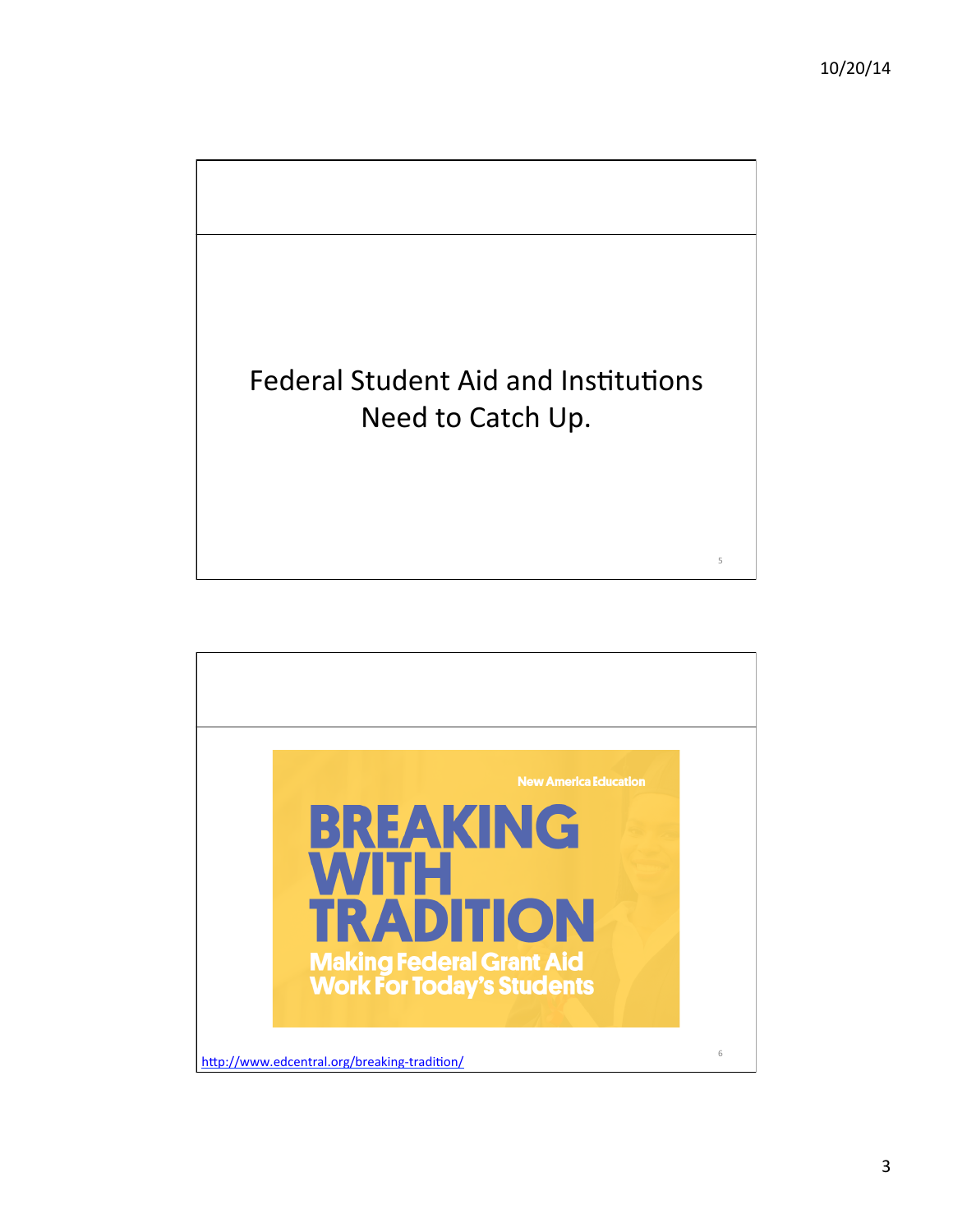

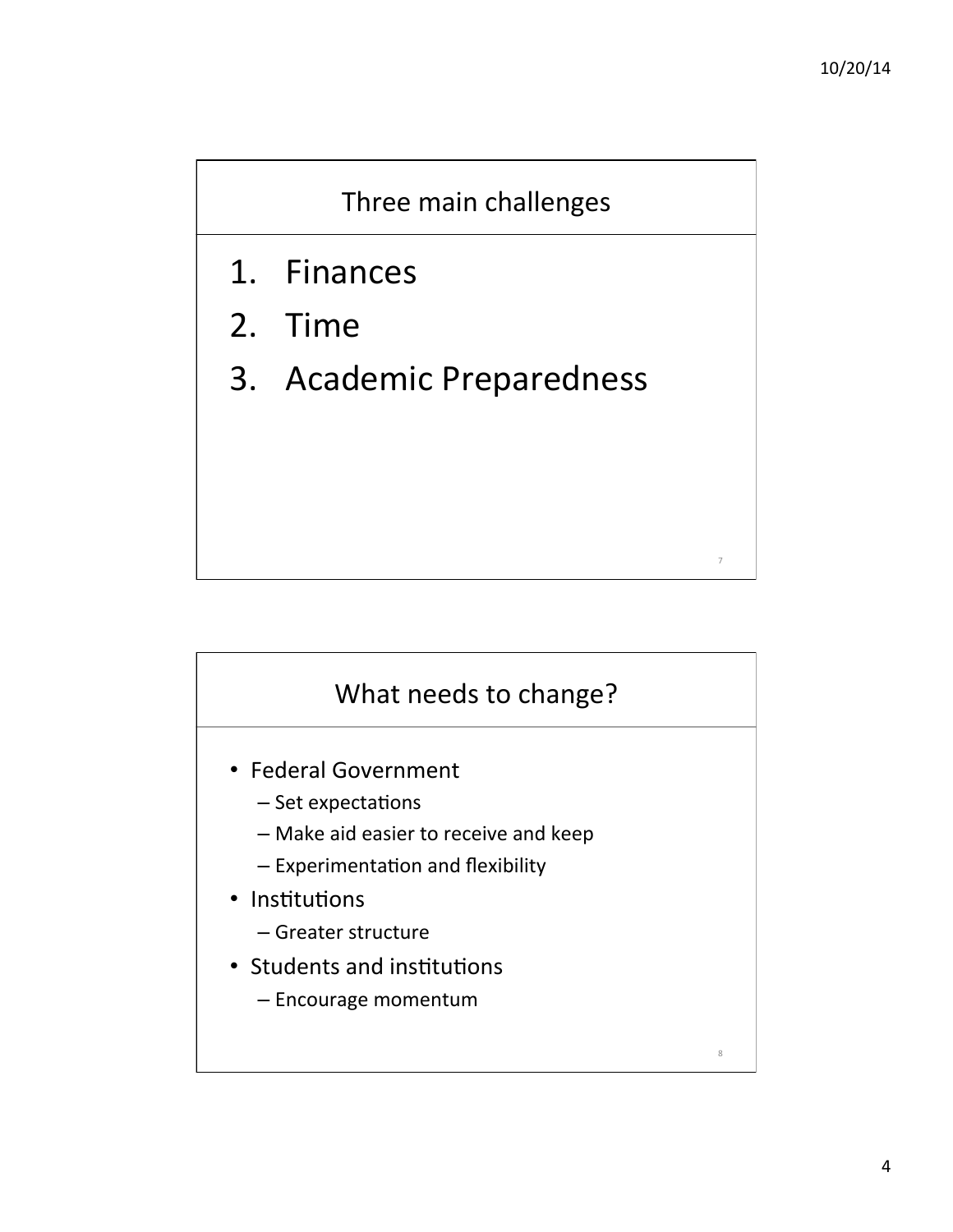

- 1. Finances
- 2. Time
- 3. Academic Preparedness



- Federal Government
	- $-$  Set expectations
	- Make aid easier to receive and keep
	- $-$  Experimentation and flexibility
- Institutions
	- Greater structure
- Students and institutions
	- Encourage momentum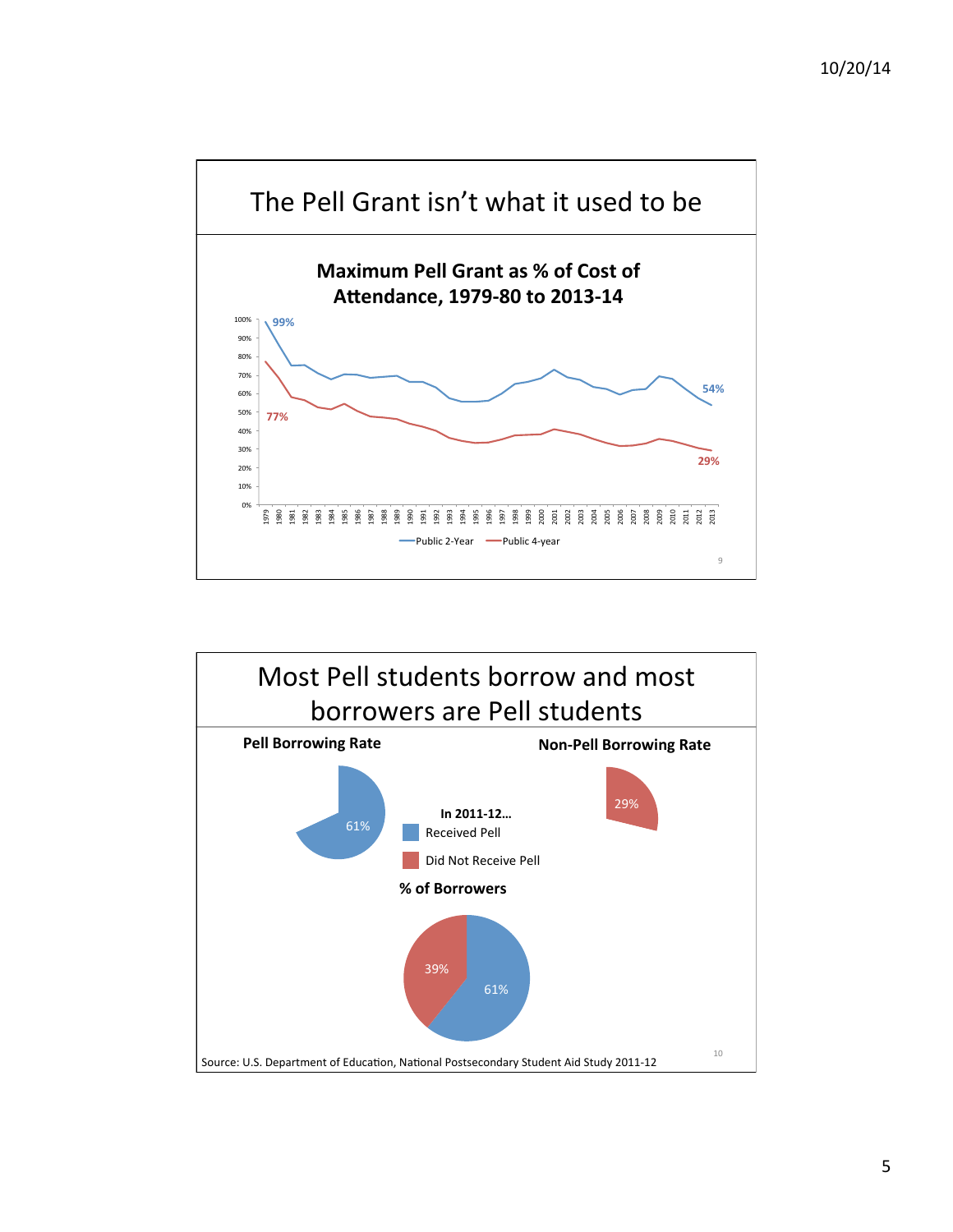

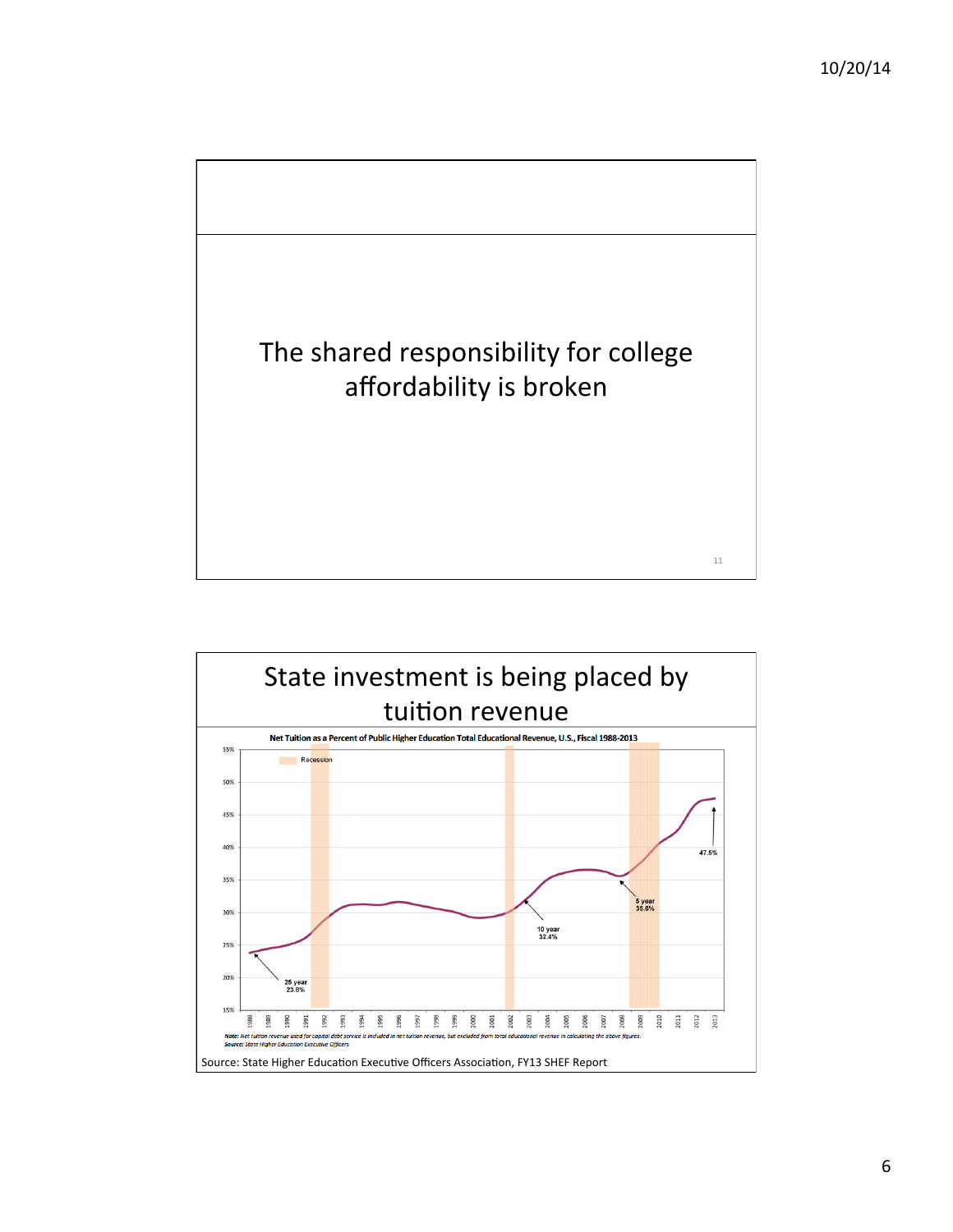

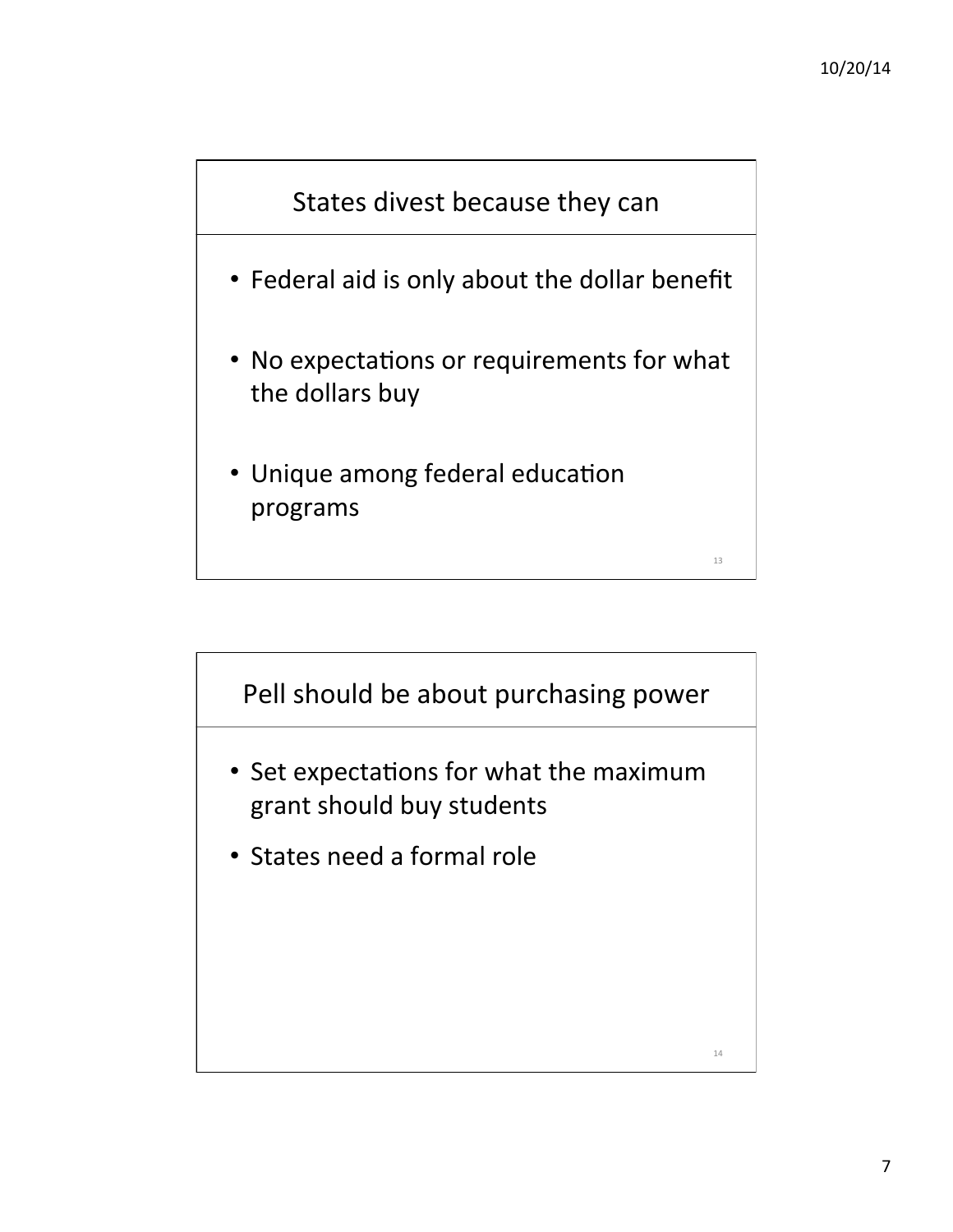

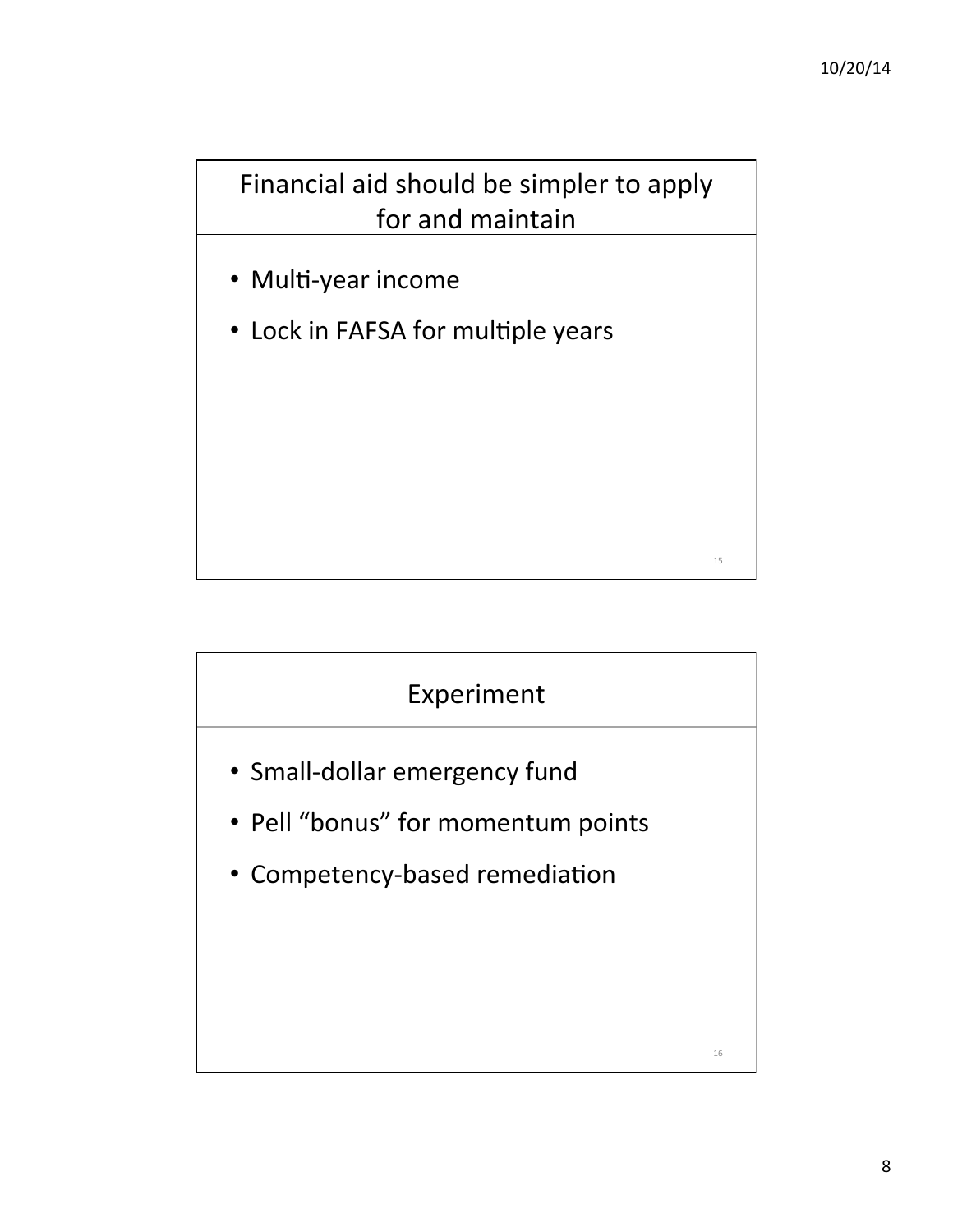

- Multi-year income
- Lock in FAFSA for multiple years

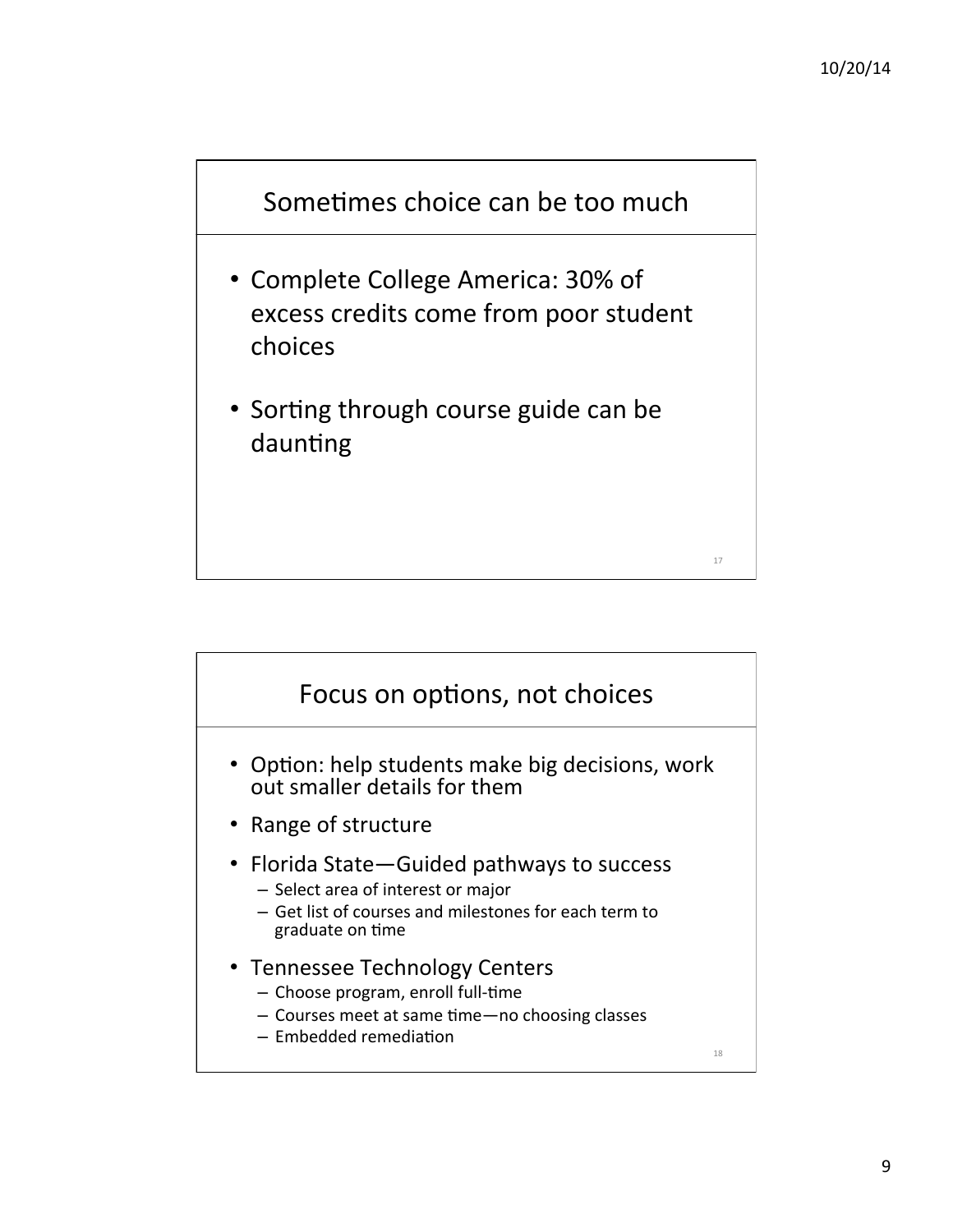

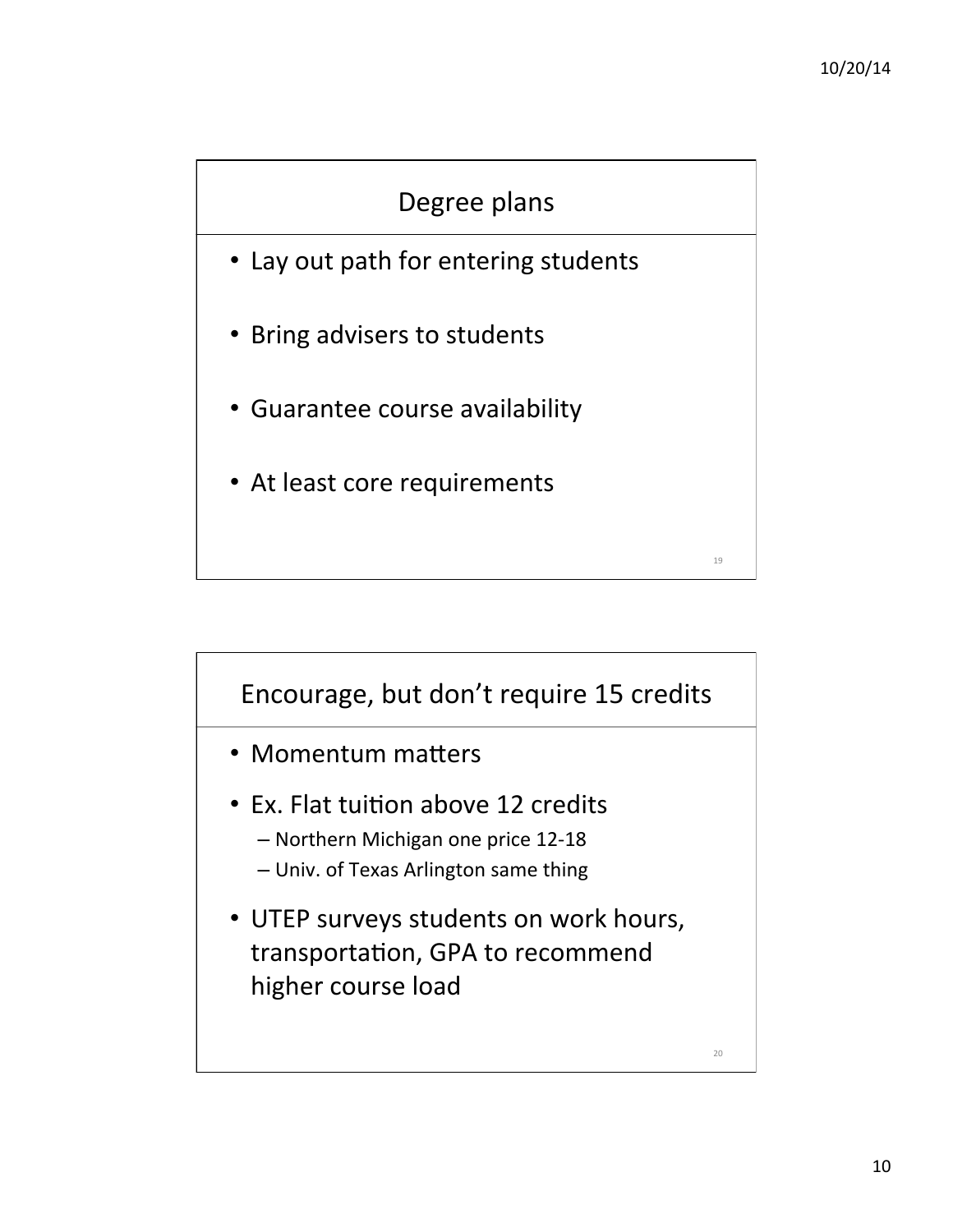## Degree plans

- Lay out path for entering students
- Bring advisers to students
- Guarantee course availability
- At least core requirements

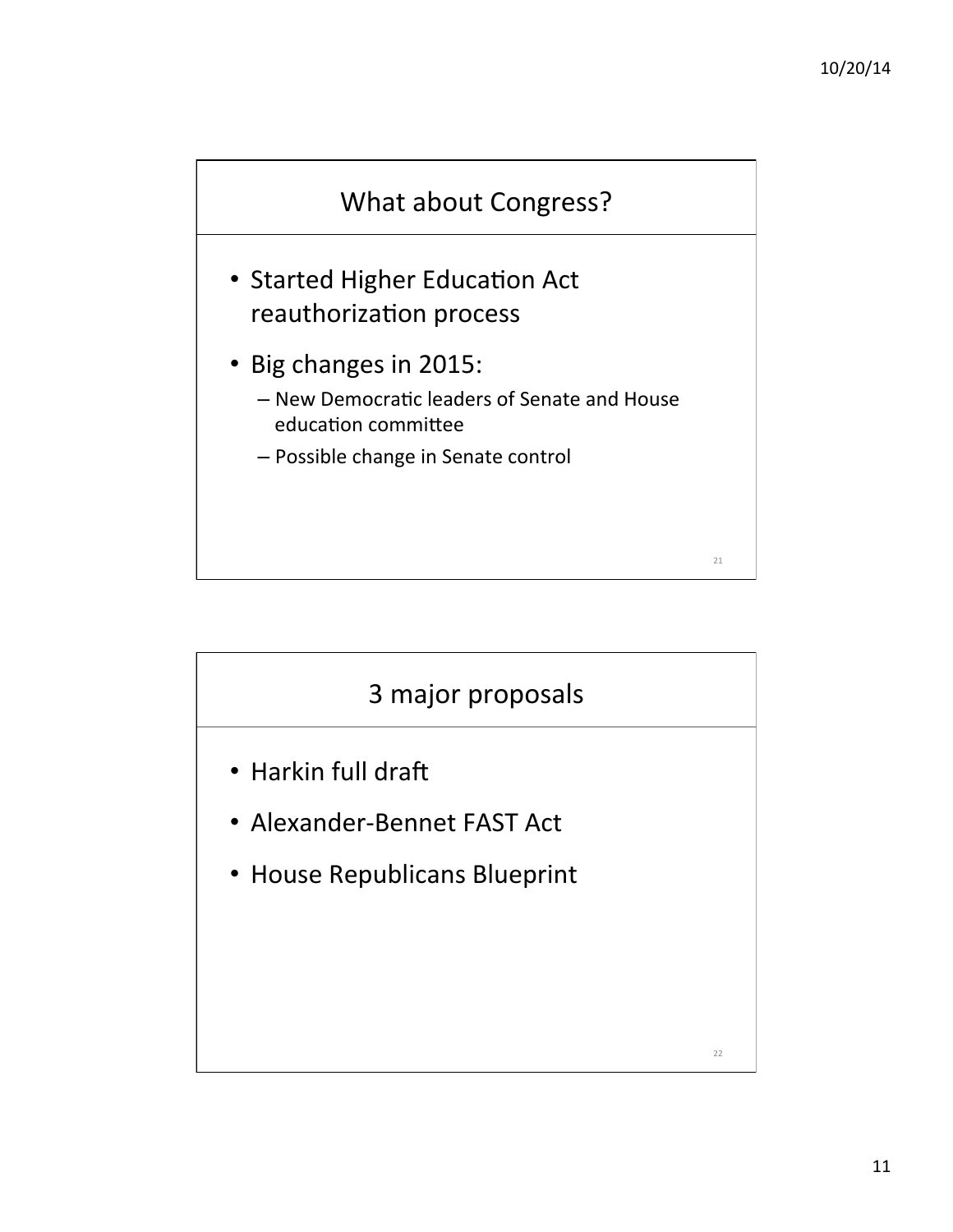

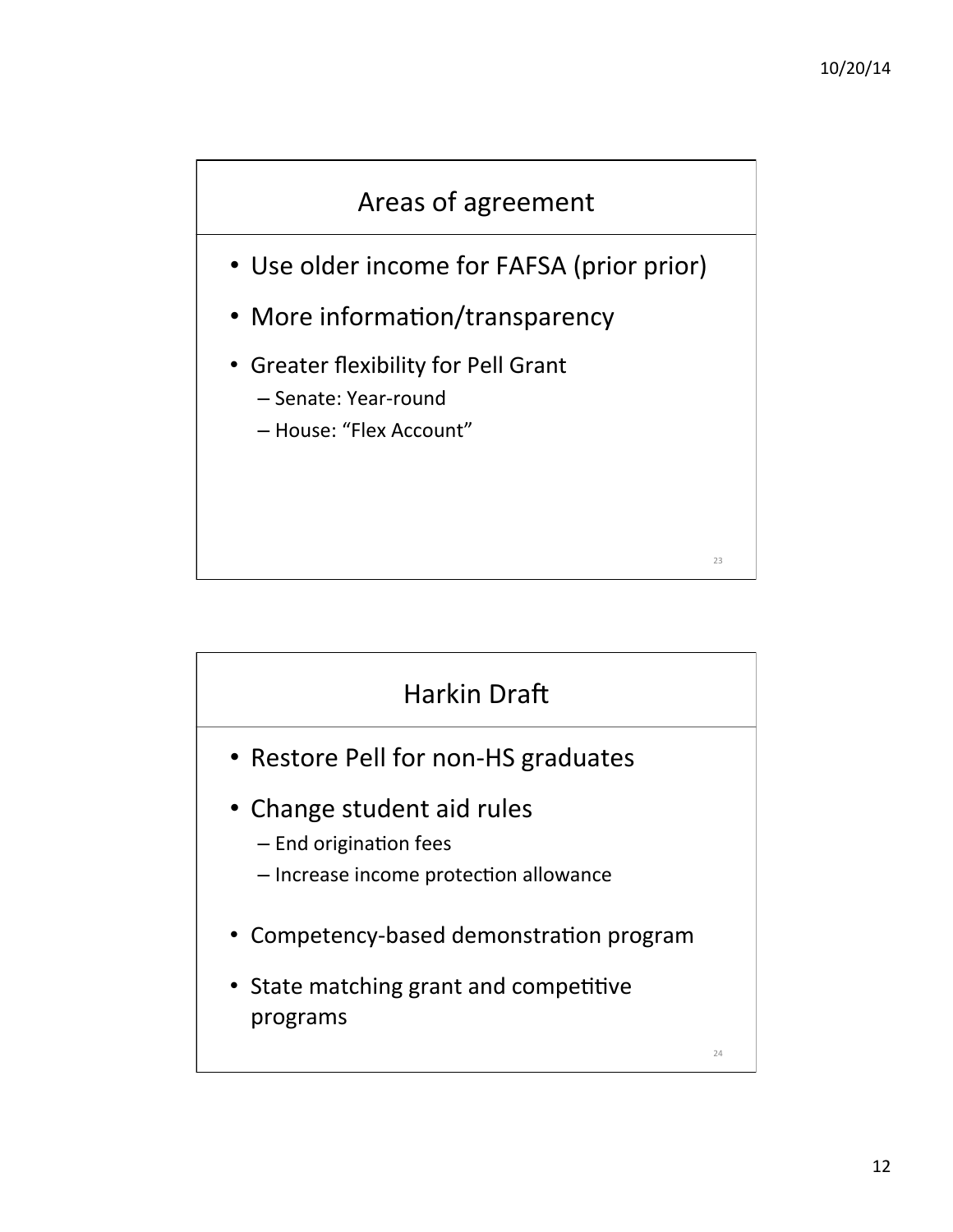

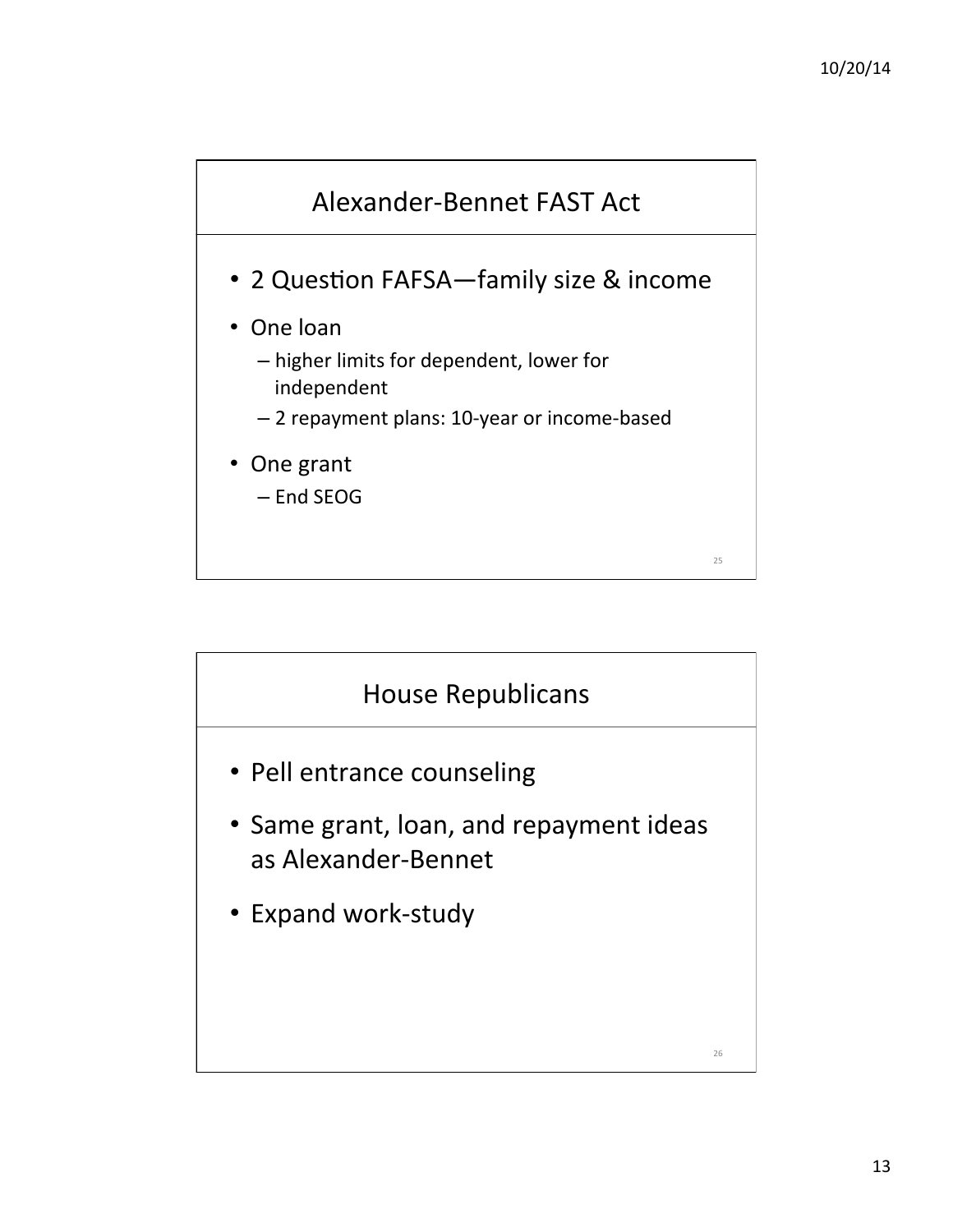